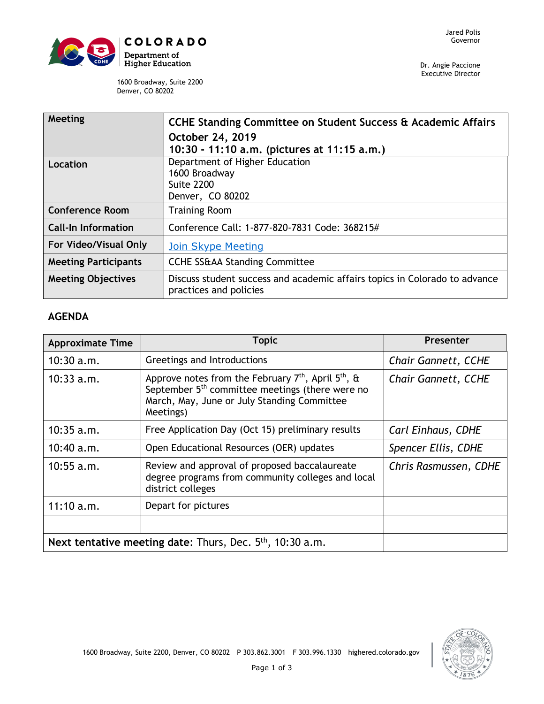

Dr. Angie Paccione Executive Director

1600 Broadway, Suite 2200 Denver, CO 80202

| Meeting                     | CCHE Standing Committee on Student Success & Academic Affairs                                        |  |  |
|-----------------------------|------------------------------------------------------------------------------------------------------|--|--|
|                             | October 24, 2019                                                                                     |  |  |
|                             | 10:30 - 11:10 a.m. (pictures at 11:15 a.m.)                                                          |  |  |
| Location                    | Department of Higher Education                                                                       |  |  |
|                             | 1600 Broadway                                                                                        |  |  |
|                             | <b>Suite 2200</b>                                                                                    |  |  |
|                             | Denver, CO 80202                                                                                     |  |  |
| <b>Conference Room</b>      | <b>Training Room</b>                                                                                 |  |  |
| <b>Call-In Information</b>  | Conference Call: 1-877-820-7831 Code: 368215#                                                        |  |  |
| For Video/Visual Only       | <b>Join Skype Meeting</b>                                                                            |  |  |
| <b>Meeting Participants</b> | <b>CCHE SS&amp;AA Standing Committee</b>                                                             |  |  |
| <b>Meeting Objectives</b>   | Discuss student success and academic affairs topics in Colorado to advance<br>practices and policies |  |  |

## **AGENDA**

| <b>Approximate Time</b>                                               | <b>Topic</b>                                                                                                                                                                                           | Presenter                  |
|-----------------------------------------------------------------------|--------------------------------------------------------------------------------------------------------------------------------------------------------------------------------------------------------|----------------------------|
| $10:30$ a.m.                                                          | Greetings and Introductions                                                                                                                                                                            | <b>Chair Gannett, CCHE</b> |
| $10:33$ a.m.                                                          | Approve notes from the February 7 <sup>th</sup> , April 5 <sup>th</sup> , &<br>September 5 <sup>th</sup> committee meetings (there were no<br>March, May, June or July Standing Committee<br>Meetings) | <b>Chair Gannett, CCHE</b> |
| $10:35$ a.m.                                                          | Free Application Day (Oct 15) preliminary results                                                                                                                                                      | Carl Einhaus, CDHE         |
| 10:40 a.m.                                                            | Open Educational Resources (OER) updates                                                                                                                                                               | Spencer Ellis, CDHE        |
| $10:55$ a.m.                                                          | Review and approval of proposed baccalaureate<br>degree programs from community colleges and local<br>district colleges                                                                                | Chris Rasmussen, CDHE      |
| 11:10 a.m.                                                            | Depart for pictures                                                                                                                                                                                    |                            |
|                                                                       |                                                                                                                                                                                                        |                            |
| Next tentative meeting date: Thurs, Dec. 5 <sup>th</sup> , 10:30 a.m. |                                                                                                                                                                                                        |                            |

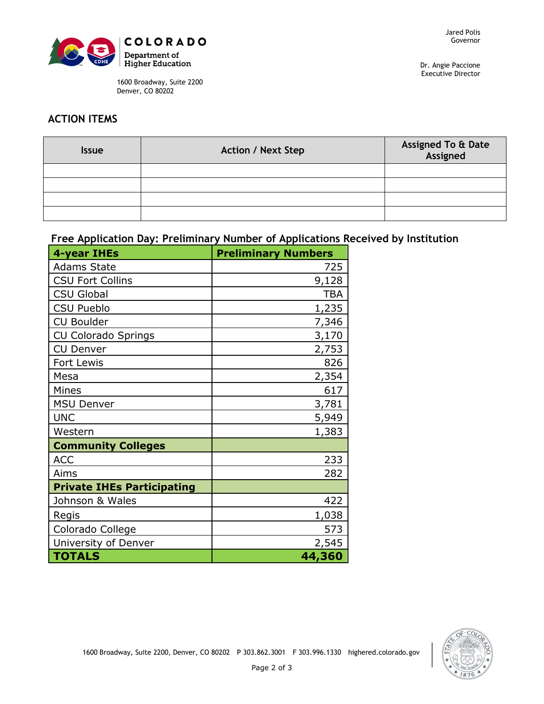

1600 Broadway, Suite 2200 Denver, CO 80202

Dr. Angie Paccione Executive Director

## **ACTION ITEMS**

| <b>Issue</b> | <b>Action / Next Step</b> | Assigned To & Date<br>Assigned |
|--------------|---------------------------|--------------------------------|
|              |                           |                                |
|              |                           |                                |
|              |                           |                                |
|              |                           |                                |

## **Free Application Day: Preliminary Number of Applications Received by Institution**

| 4-year IHEs                       | <b>Preliminary Numbers</b> |
|-----------------------------------|----------------------------|
| <b>Adams State</b>                | 725                        |
| <b>CSU Fort Collins</b>           | 9,128                      |
| <b>CSU Global</b>                 | <b>TBA</b>                 |
| <b>CSU Pueblo</b>                 | 1,235                      |
| <b>CU Boulder</b>                 | 7,346                      |
| CU Colorado Springs               | 3,170                      |
| <b>CU Denver</b>                  | 2,753                      |
| Fort Lewis                        | 826                        |
| Mesa                              | 2,354                      |
| Mines                             | 617                        |
| <b>MSU Denver</b>                 | 3,781                      |
| <b>UNC</b>                        | 5,949                      |
| Western                           | 1,383                      |
| <b>Community Colleges</b>         |                            |
| <b>ACC</b>                        | 233                        |
| Aims                              | 282                        |
| <b>Private IHEs Participating</b> |                            |
| Johnson & Wales                   | 422                        |
| Regis                             | 1,038                      |
| Colorado College                  | 573                        |
| University of Denver              | 2,545                      |
| <b>TOTALS</b>                     | 44,360                     |